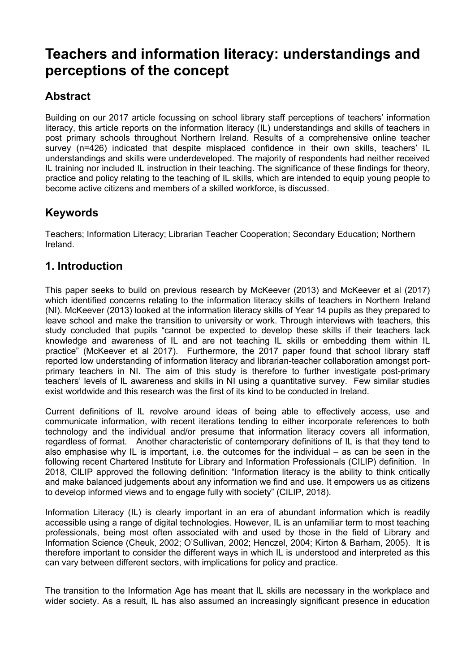# **Teachers and information literacy: understandings and perceptions of the concept**

## **Abstract**

Building on our 2017 article focussing on school library staff perceptions of teachers' information literacy, this article reports on the information literacy (IL) understandings and skills of teachers in post primary schools throughout Northern Ireland. Results of a comprehensive online teacher survey (n=426) indicated that despite misplaced confidence in their own skills, teachers' IL understandings and skills were underdeveloped. The majority of respondents had neither received IL training nor included IL instruction in their teaching. The significance of these findings for theory, practice and policy relating to the teaching of IL skills, which are intended to equip young people to become active citizens and members of a skilled workforce, is discussed.

## **Keywords**

Teachers; Information Literacy; Librarian Teacher Cooperation; Secondary Education; Northern Ireland.

## **1. Introduction**

This paper seeks to build on previous research by McKeever (2013) and McKeever et al (2017) which identified concerns relating to the information literacy skills of teachers in Northern Ireland (NI). McKeever (2013) looked at the information literacy skills of Year 14 pupils as they prepared to leave school and make the transition to university or work. Through interviews with teachers, this study concluded that pupils "cannot be expected to develop these skills if their teachers lack knowledge and awareness of IL and are not teaching IL skills or embedding them within IL practice" (McKeever et al 2017). Furthermore, the 2017 paper found that school library staff reported low understanding of information literacy and librarian-teacher collaboration amongst portprimary teachers in NI. The aim of this study is therefore to further investigate post-primary teachers' levels of IL awareness and skills in NI using a quantitative survey. Few similar studies exist worldwide and this research was the first of its kind to be conducted in Ireland.

Current definitions of IL revolve around ideas of being able to effectively access, use and communicate information, with recent iterations tending to either incorporate references to both technology and the individual and/or presume that information literacy covers all information, regardless of format. Another characteristic of contemporary definitions of IL is that they tend to also emphasise why IL is important, i.e. the outcomes for the individual – as can be seen in the following recent Chartered Institute for Library and Information Professionals (CILIP) definition. In 2018, CILIP approved the following definition: "Information literacy is the ability to think critically and make balanced judgements about any information we find and use. It empowers us as citizens to develop informed views and to engage fully with society" (CILIP, 2018).

Information Literacy (IL) is clearly important in an era of abundant information which is readily accessible using a range of digital technologies. However, IL is an unfamiliar term to most teaching professionals, being most often associated with and used by those in the field of Library and Information Science (Cheuk, 2002; O'Sullivan, 2002; Henczel, 2004; Kirton & Barham, 2005). It is therefore important to consider the different ways in which IL is understood and interpreted as this can vary between different sectors, with implications for policy and practice.

The transition to the Information Age has meant that IL skills are necessary in the workplace and wider society. As a result, IL has also assumed an increasingly significant presence in education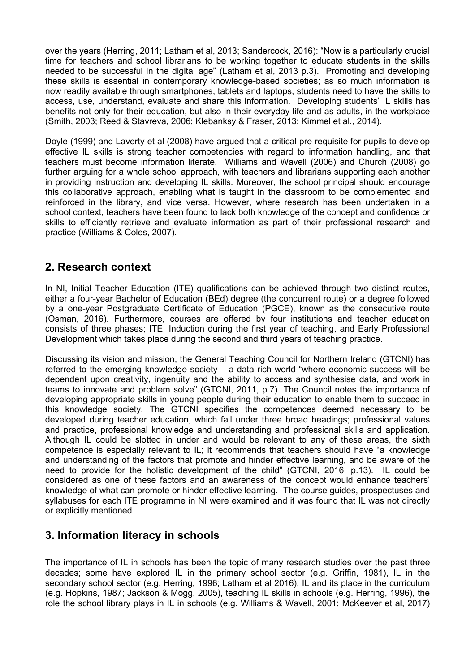over the years (Herring, 2011; Latham et al, 2013; Sandercock, 2016): "Now is a particularly crucial time for teachers and school librarians to be working together to educate students in the skills needed to be successful in the digital age" (Latham et al, 2013 p.3). Promoting and developing these skills is essential in contemporary knowledge-based societies; as so much information is now readily available through smartphones, tablets and laptops, students need to have the skills to access, use, understand, evaluate and share this information. Developing students' IL skills has benefits not only for their education, but also in their everyday life and as adults, in the workplace (Smith, 2003; Reed & Stavreva, 2006; Klebanksy & Fraser, 2013; Kimmel et al., 2014).

Doyle (1999) and Laverty et al (2008) have argued that a critical pre-requisite for pupils to develop effective IL skills is strong teacher competencies with regard to information handling, and that teachers must become information literate. Williams and Wavell (2006) and Church (2008) go further arguing for a whole school approach, with teachers and librarians supporting each another in providing instruction and developing IL skills. Moreover, the school principal should encourage this collaborative approach, enabling what is taught in the classroom to be complemented and reinforced in the library, and vice versa. However, where research has been undertaken in a school context, teachers have been found to lack both knowledge of the concept and confidence or skills to efficiently retrieve and evaluate information as part of their professional research and practice (Williams & Coles, 2007).

## **2. Research context**

In NI, Initial Teacher Education (ITE) qualifications can be achieved through two distinct routes, either a four-year Bachelor of Education (BEd) degree (the concurrent route) or a degree followed by a one-year Postgraduate Certificate of Education (PGCE), known as the consecutive route (Osman, 2016). Furthermore, courses are offered by four institutions and teacher education consists of three phases; ITE, Induction during the first year of teaching, and Early Professional Development which takes place during the second and third years of teaching practice.

Discussing its vision and mission, the General Teaching Council for Northern Ireland (GTCNI) has referred to the emerging knowledge society – a data rich world "where economic success will be dependent upon creativity, ingenuity and the ability to access and synthesise data, and work in teams to innovate and problem solve" (GTCNI, 2011, p.7). The Council notes the importance of developing appropriate skills in young people during their education to enable them to succeed in this knowledge society. The GTCNI specifies the competences deemed necessary to be developed during teacher education, which fall under three broad headings; professional values and practice, professional knowledge and understanding and professional skills and application. Although IL could be slotted in under and would be relevant to any of these areas, the sixth competence is especially relevant to IL; it recommends that teachers should have "a knowledge and understanding of the factors that promote and hinder effective learning, and be aware of the need to provide for the holistic development of the child" (GTCNI, 2016, p.13). IL could be considered as one of these factors and an awareness of the concept would enhance teachers' knowledge of what can promote or hinder effective learning. The course guides, prospectuses and syllabuses for each ITE programme in NI were examined and it was found that IL was not directly or explicitly mentioned.

## **3. Information literacy in schools**

The importance of IL in schools has been the topic of many research studies over the past three decades; some have explored IL in the primary school sector (e.g. Griffin, 1981), IL in the secondary school sector (e.g. Herring, 1996; Latham et al 2016), IL and its place in the curriculum (e.g. Hopkins, 1987; Jackson & Mogg, 2005), teaching IL skills in schools (e.g. Herring, 1996), the role the school library plays in IL in schools (e.g. Williams & Wavell, 2001; McKeever et al, 2017)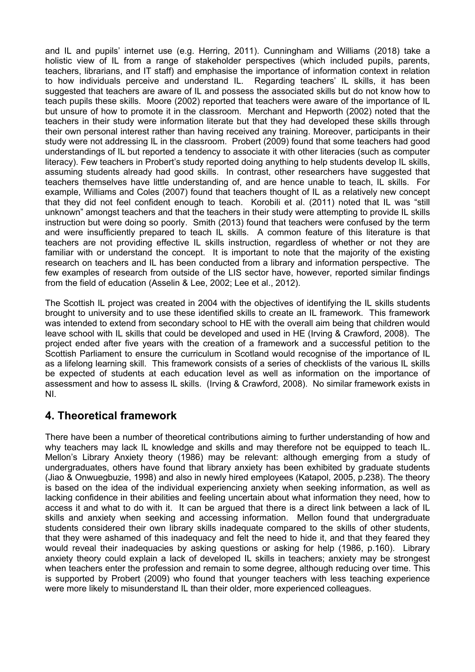and IL and pupils' internet use (e.g. Herring, 2011). Cunningham and Williams (2018) take a holistic view of IL from a range of stakeholder perspectives (which included pupils, parents, teachers, librarians, and IT staff) and emphasise the importance of information context in relation to how individuals perceive and understand IL. Regarding teachers' IL skills, it has been suggested that teachers are aware of IL and possess the associated skills but do not know how to teach pupils these skills. Moore (2002) reported that teachers were aware of the importance of IL but unsure of how to promote it in the classroom. Merchant and Hepworth (2002) noted that the teachers in their study were information literate but that they had developed these skills through their own personal interest rather than having received any training. Moreover, participants in their study were not addressing IL in the classroom. Probert (2009) found that some teachers had good understandings of IL but reported a tendency to associate it with other literacies (such as computer literacy). Few teachers in Probert's study reported doing anything to help students develop IL skills, assuming students already had good skills. In contrast, other researchers have suggested that teachers themselves have little understanding of, and are hence unable to teach, IL skills. For example, Williams and Coles (2007) found that teachers thought of IL as a relatively new concept that they did not feel confident enough to teach. Korobili et al. (2011) noted that IL was "still unknown" amongst teachers and that the teachers in their study were attempting to provide IL skills instruction but were doing so poorly. Smith (2013) found that teachers were confused by the term and were insufficiently prepared to teach IL skills. A common feature of this literature is that teachers are not providing effective IL skills instruction, regardless of whether or not they are familiar with or understand the concept. It is important to note that the majority of the existing research on teachers and IL has been conducted from a library and information perspective. The few examples of research from outside of the LIS sector have, however, reported similar findings from the field of education (Asselin & Lee, 2002; Lee et al., 2012).

The Scottish IL project was created in 2004 with the objectives of identifying the IL skills students brought to university and to use these identified skills to create an IL framework. This framework was intended to extend from secondary school to HE with the overall aim being that children would leave school with IL skills that could be developed and used in HE (Irving & Crawford, 2008). The project ended after five years with the creation of a framework and a successful petition to the Scottish Parliament to ensure the curriculum in Scotland would recognise of the importance of IL as a lifelong learning skill. This framework consists of a series of checklists of the various IL skills be expected of students at each education level as well as information on the importance of assessment and how to assess IL skills. (Irving & Crawford, 2008). No similar framework exists in NI.

## **4. Theoretical framework**

There have been a number of theoretical contributions aiming to further understanding of how and why teachers may lack IL knowledge and skills and may therefore not be equipped to teach IL. Mellon's Library Anxiety theory (1986) may be relevant: although emerging from a study of undergraduates, others have found that library anxiety has been exhibited by graduate students (Jiao & Onwuegbuzie, 1998) and also in newly hired employees (Katapol, 2005, p.238). The theory is based on the idea of the individual experiencing anxiety when seeking information, as well as lacking confidence in their abilities and feeling uncertain about what information they need, how to access it and what to do with it. It can be argued that there is a direct link between a lack of IL skills and anxiety when seeking and accessing information. Mellon found that undergraduate students considered their own library skills inadequate compared to the skills of other students, that they were ashamed of this inadequacy and felt the need to hide it, and that they feared they would reveal their inadequacies by asking questions or asking for help (1986, p.160). Library anxiety theory could explain a lack of developed IL skills in teachers; anxiety may be strongest when teachers enter the profession and remain to some degree, although reducing over time. This is supported by Probert (2009) who found that younger teachers with less teaching experience were more likely to misunderstand IL than their older, more experienced colleagues.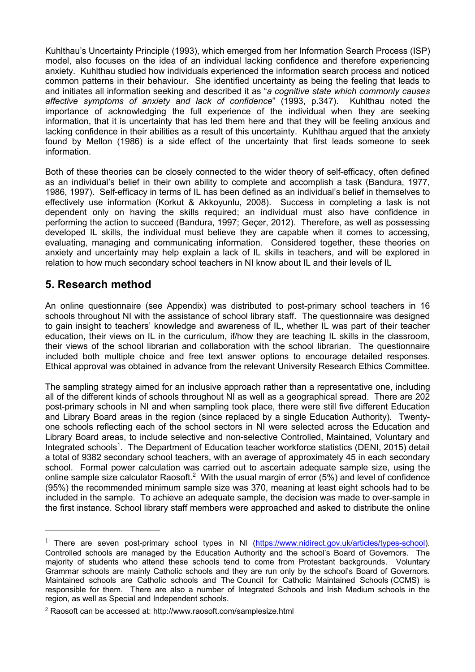Kuhlthau's Uncertainty Principle (1993), which emerged from her Information Search Process (ISP) model, also focuses on the idea of an individual lacking confidence and therefore experiencing anxiety. Kuhlthau studied how individuals experienced the information search process and noticed common patterns in their behaviour. She identified uncertainty as being the feeling that leads to and initiates all information seeking and described it as "*a cognitive state which commonly causes affective symptoms of anxiety and lack of confidence*" (1993, p.347). Kuhlthau noted the importance of acknowledging the full experience of the individual when they are seeking information, that it is uncertainty that has led them here and that they will be feeling anxious and lacking confidence in their abilities as a result of this uncertainty. Kuhlthau argued that the anxiety found by Mellon (1986) is a side effect of the uncertainty that first leads someone to seek information.

Both of these theories can be closely connected to the wider theory of self-efficacy, often defined as an individual's belief in their own ability to complete and accomplish a task (Bandura, 1977, 1986, 1997). Self-efficacy in terms of IL has been defined as an individual's belief in themselves to effectively use information (Korkut & Akkoyunlu, 2008). Success in completing a task is not dependent only on having the skills required; an individual must also have confidence in performing the action to succeed (Bandura, 1997; Geçer, 2012). Therefore, as well as possessing developed IL skills, the individual must believe they are capable when it comes to accessing, evaluating, managing and communicating information. Considered together, these theories on anxiety and uncertainty may help explain a lack of IL skills in teachers, and will be explored in relation to how much secondary school teachers in NI know about IL and their levels of IL

## **5. Research method**

An online questionnaire (see Appendix) was distributed to post-primary school teachers in 16 schools throughout NI with the assistance of school library staff. The questionnaire was designed to gain insight to teachers' knowledge and awareness of IL, whether IL was part of their teacher education, their views on IL in the curriculum, if/how they are teaching IL skills in the classroom, their views of the school librarian and collaboration with the school librarian. The questionnaire included both multiple choice and free text answer options to encourage detailed responses. Ethical approval was obtained in advance from the relevant University Research Ethics Committee.

The sampling strategy aimed for an inclusive approach rather than a representative one, including all of the different kinds of schools throughout NI as well as a geographical spread. There are 202 post-primary schools in NI and when sampling took place, there were still five different Education and Library Board areas in the region (since replaced by a single Education Authority). Twentyone schools reflecting each of the school sectors in NI were selected across the Education and Library Board areas, to include selective and non-selective Controlled, Maintained, Voluntary and Integrated schools<sup>1</sup>. The Department of Education teacher workforce statistics (DENI, 2015) detail a total of 9382 secondary school teachers, with an average of approximately 45 in each secondary school. Formal power calculation was carried out to ascertain adequate sample size, using the online sample size calculator Raosoft.<sup>2</sup> With the usual margin of error (5%) and level of confidence (95%) the recommended minimum sample size was 370, meaning at least eight schools had to be included in the sample. To achieve an adequate sample, the decision was made to over-sample in the first instance. School library staff members were approached and asked to distribute the online

<sup>&</sup>lt;sup>1</sup> There are seven post-primary school types in NI (https://www.nidirect.gov.uk/articles/types-school). Controlled schools are managed by the Education Authority and the school's Board of Governors. The majority of students who attend these schools tend to come from Protestant backgrounds. Voluntary Grammar schools are mainly Catholic schools and they are run only by the school's Board of Governors. Maintained schools are Catholic schools and The Council for Catholic Maintained Schools (CCMS) is responsible for them. There are also a number of Integrated Schools and Irish Medium schools in the region, as well as Special and Independent schools.

<sup>2</sup> Raosoft can be accessed at: http://www.raosoft.com/samplesize.html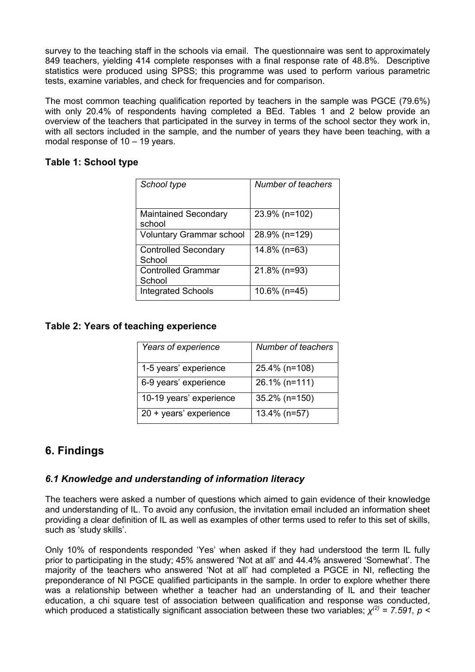survey to the teaching staff in the schools via email. The questionnaire was sent to approximately 849 teachers, yielding 414 complete responses with a final response rate of 48.8%. Descriptive statistics were produced using SPSS; this programme was used to perform various parametric tests, examine variables, and check for frequencies and for comparison.

The most common teaching qualification reported by teachers in the sample was PGCE (79.6%) with only 20.4% of respondents having completed a BEd. Tables 1 and 2 below provide an overview of the teachers that participated in the survey in terms of the school sector they work in, with all sectors included in the sample, and the number of years they have been teaching, with a modal response of 10 – 19 years.

### **Table 1: School type**

| School type                           | Number of teachers |
|---------------------------------------|--------------------|
| <b>Maintained Secondary</b><br>school | 23.9% (n=102)      |
| <b>Voluntary Grammar school</b>       | 28.9% (n=129)      |
| <b>Controlled Secondary</b><br>School | 14.8% (n=63)       |
| <b>Controlled Grammar</b><br>School   | 21.8% (n=93)       |
| <b>Integrated Schools</b>             | $10.6\%$ (n=45)    |

### **Table 2: Years of teaching experience**

| Years of experience     | Number of teachers |
|-------------------------|--------------------|
| 1-5 years' experience   | 25.4% (n=108)      |
| 6-9 years' experience   | 26.1% (n=111)      |
| 10-19 years' experience | 35.2% (n=150)      |
| 20 + years' experience  | 13.4% (n=57)       |

## **6. Findings**

## *6.1 Knowledge and understanding of information literacy*

The teachers were asked a number of questions which aimed to gain evidence of their knowledge and understanding of IL. To avoid any confusion, the invitation email included an information sheet providing a clear definition of IL as well as examples of other terms used to refer to this set of skills, such as 'study skills'.

Only 10% of respondents responded 'Yes' when asked if they had understood the term IL fully prior to participating in the study; 45% answered 'Not at all' and 44.4% answered 'Somewhat'. The majority of the teachers who answered 'Not at all' had completed a PGCE in NI, reflecting the preponderance of NI PGCE qualified participants in the sample. In order to explore whether there was a relationship between whether a teacher had an understanding of IL and their teacher education, a chi square test of association between qualification and response was conducted, which produced a statistically significant association between these two variables;  $\chi^{(2)}$  = 7.591, p <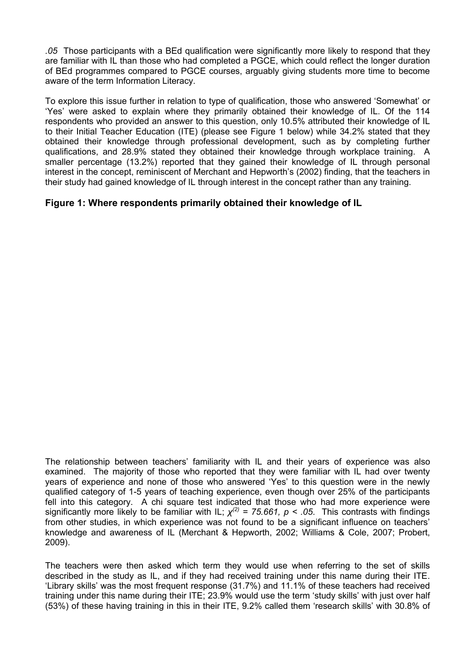*.05* Those participants with a BEd qualification were significantly more likely to respond that they are familiar with IL than those who had completed a PGCE, which could reflect the longer duration of BEd programmes compared to PGCE courses, arguably giving students more time to become aware of the term Information Literacy.

To explore this issue further in relation to type of qualification, those who answered 'Somewhat' or 'Yes' were asked to explain where they primarily obtained their knowledge of IL. Of the 114 respondents who provided an answer to this question, only 10.5% attributed their knowledge of IL to their Initial Teacher Education (ITE) (please see Figure 1 below) while 34.2% stated that they obtained their knowledge through professional development, such as by completing further qualifications, and 28.9% stated they obtained their knowledge through workplace training. A smaller percentage (13.2%) reported that they gained their knowledge of IL through personal interest in the concept, reminiscent of Merchant and Hepworth's (2002) finding, that the teachers in their study had gained knowledge of IL through interest in the concept rather than any training.

### **Figure 1: Where respondents primarily obtained their knowledge of IL**

The relationship between teachers' familiarity with IL and their years of experience was also examined. The majority of those who reported that they were familiar with IL had over twenty years of experience and none of those who answered 'Yes' to this question were in the newly qualified category of 1-5 years of teaching experience, even though over 25% of the participants fell into this category. A chi square test indicated that those who had more experience were significantly more likely to be familiar with IL;  $x^{(2)} = 75.661$ ,  $p < .05$ . This contrasts with findings from other studies, in which experience was not found to be a significant influence on teachers' knowledge and awareness of IL (Merchant & Hepworth, 2002; Williams & Cole, 2007; Probert, 2009).

The teachers were then asked which term they would use when referring to the set of skills described in the study as IL, and if they had received training under this name during their ITE. 'Library skills' was the most frequent response (31.7%) and 11.1% of these teachers had received training under this name during their ITE; 23.9% would use the term 'study skills' with just over half (53%) of these having training in this in their ITE, 9.2% called them 'research skills' with 30.8% of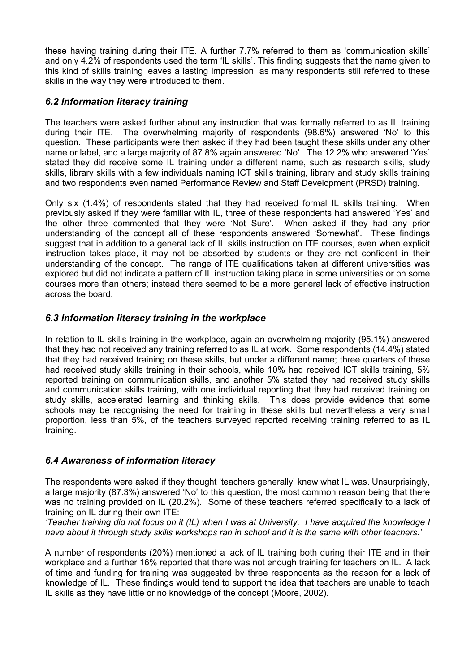these having training during their ITE. A further 7.7% referred to them as 'communication skills' and only 4.2% of respondents used the term 'IL skills'. This finding suggests that the name given to this kind of skills training leaves a lasting impression, as many respondents still referred to these skills in the way they were introduced to them.

## *6.2 Information literacy training*

The teachers were asked further about any instruction that was formally referred to as IL training during their ITE. The overwhelming majority of respondents (98.6%) answered 'No' to this question. These participants were then asked if they had been taught these skills under any other name or label, and a large majority of 87.8% again answered 'No'. The 12.2% who answered 'Yes' stated they did receive some IL training under a different name, such as research skills, study skills, library skills with a few individuals naming ICT skills training, library and study skills training and two respondents even named Performance Review and Staff Development (PRSD) training.

Only six (1.4%) of respondents stated that they had received formal IL skills training. When previously asked if they were familiar with IL, three of these respondents had answered 'Yes' and the other three commented that they were 'Not Sure'. When asked if they had any prior understanding of the concept all of these respondents answered 'Somewhat'. These findings suggest that in addition to a general lack of IL skills instruction on ITE courses, even when explicit instruction takes place, it may not be absorbed by students or they are not confident in their understanding of the concept. The range of ITE qualifications taken at different universities was explored but did not indicate a pattern of IL instruction taking place in some universities or on some courses more than others; instead there seemed to be a more general lack of effective instruction across the board.

## *6.3 Information literacy training in the workplace*

In relation to IL skills training in the workplace, again an overwhelming majority (95.1%) answered that they had not received any training referred to as IL at work. Some respondents (14.4%) stated that they had received training on these skills, but under a different name; three quarters of these had received study skills training in their schools, while 10% had received ICT skills training, 5% reported training on communication skills, and another 5% stated they had received study skills and communication skills training, with one individual reporting that they had received training on study skills, accelerated learning and thinking skills. This does provide evidence that some schools may be recognising the need for training in these skills but nevertheless a very small proportion, less than 5%, of the teachers surveyed reported receiving training referred to as IL training.

## *6.4 Awareness of information literacy*

The respondents were asked if they thought 'teachers generally' knew what IL was. Unsurprisingly, a large majority (87.3%) answered 'No' to this question, the most common reason being that there was no training provided on IL (20.2%). Some of these teachers referred specifically to a lack of training on IL during their own ITE:

*'Teacher training did not focus on it (IL) when I was at University. I have acquired the knowledge I have about it through study skills workshops ran in school and it is the same with other teachers.'*

A number of respondents (20%) mentioned a lack of IL training both during their ITE and in their workplace and a further 16% reported that there was not enough training for teachers on IL. A lack of time and funding for training was suggested by three respondents as the reason for a lack of knowledge of IL. These findings would tend to support the idea that teachers are unable to teach IL skills as they have little or no knowledge of the concept (Moore, 2002).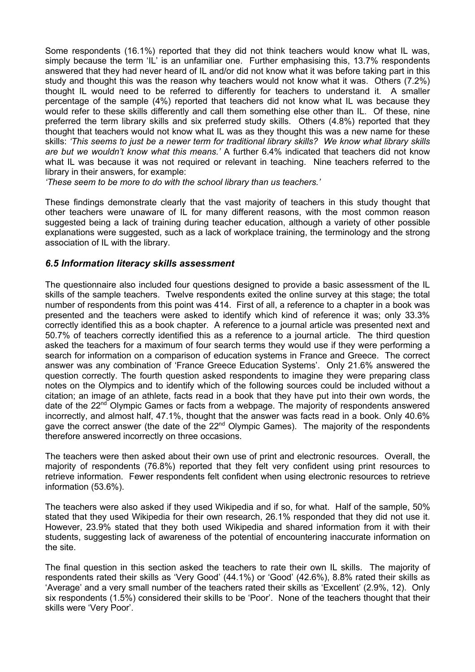Some respondents (16.1%) reported that they did not think teachers would know what IL was, simply because the term 'IL' is an unfamiliar one. Further emphasising this, 13.7% respondents answered that they had never heard of IL and/or did not know what it was before taking part in this study and thought this was the reason why teachers would not know what it was. Others (7.2%) thought IL would need to be referred to differently for teachers to understand it. A smaller percentage of the sample (4%) reported that teachers did not know what IL was because they would refer to these skills differently and call them something else other than IL. Of these, nine preferred the term library skills and six preferred study skills. Others (4.8%) reported that they thought that teachers would not know what IL was as they thought this was a new name for these skills: *'This seems to just be a newer term for traditional library skills? We know what library skills are but we wouldn't know what this means.'* A further 6.4% indicated that teachers did not know what IL was because it was not required or relevant in teaching. Nine teachers referred to the library in their answers, for example:

*'These seem to be more to do with the school library than us teachers.'*

These findings demonstrate clearly that the vast majority of teachers in this study thought that other teachers were unaware of IL for many different reasons, with the most common reason suggested being a lack of training during teacher education, although a variety of other possible explanations were suggested, such as a lack of workplace training, the terminology and the strong association of IL with the library.

### *6.5 Information literacy skills assessment*

The questionnaire also included four questions designed to provide a basic assessment of the IL skills of the sample teachers. Twelve respondents exited the online survey at this stage; the total number of respondents from this point was 414. First of all, a reference to a chapter in a book was presented and the teachers were asked to identify which kind of reference it was; only 33.3% correctly identified this as a book chapter. A reference to a journal article was presented next and 50.7% of teachers correctly identified this as a reference to a journal article. The third question asked the teachers for a maximum of four search terms they would use if they were performing a search for information on a comparison of education systems in France and Greece. The correct answer was any combination of 'France Greece Education Systems'. Only 21.6% answered the question correctly. The fourth question asked respondents to imagine they were preparing class notes on the Olympics and to identify which of the following sources could be included without a citation; an image of an athlete, facts read in a book that they have put into their own words, the date of the 22<sup>nd</sup> Olympic Games or facts from a webpage. The majority of respondents answered incorrectly, and almost half, 47.1%, thought that the answer was facts read in a book. Only 40.6% gave the correct answer (the date of the  $22<sup>nd</sup>$  Olympic Games). The majority of the respondents therefore answered incorrectly on three occasions.

The teachers were then asked about their own use of print and electronic resources. Overall, the majority of respondents (76.8%) reported that they felt very confident using print resources to retrieve information. Fewer respondents felt confident when using electronic resources to retrieve information (53.6%).

The teachers were also asked if they used Wikipedia and if so, for what. Half of the sample, 50% stated that they used Wikipedia for their own research, 26.1% responded that they did not use it. However, 23.9% stated that they both used Wikipedia and shared information from it with their students, suggesting lack of awareness of the potential of encountering inaccurate information on the site.

The final question in this section asked the teachers to rate their own IL skills. The majority of respondents rated their skills as 'Very Good' (44.1%) or 'Good' (42.6%), 8.8% rated their skills as 'Average' and a very small number of the teachers rated their skills as 'Excellent' (2.9%, 12). Only six respondents (1.5%) considered their skills to be 'Poor'. None of the teachers thought that their skills were 'Very Poor'.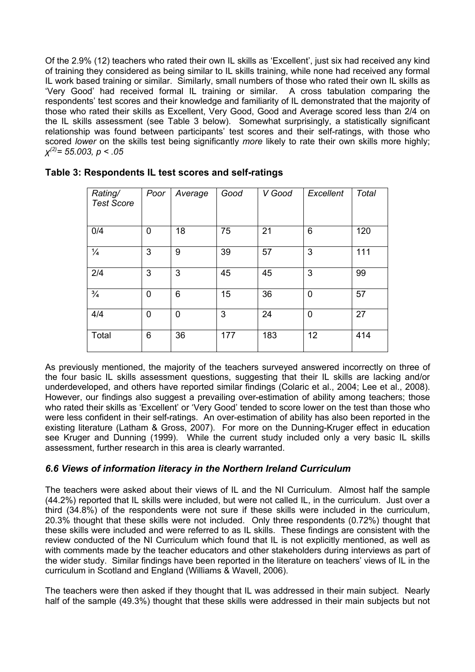Of the 2.9% (12) teachers who rated their own IL skills as 'Excellent', just six had received any kind of training they considered as being similar to IL skills training, while none had received any formal IL work based training or similar. Similarly, small numbers of those who rated their own IL skills as 'Very Good' had received formal IL training or similar. A cross tabulation comparing the respondents' test scores and their knowledge and familiarity of IL demonstrated that the majority of those who rated their skills as Excellent, Very Good, Good and Average scored less than 2/4 on the IL skills assessment (see Table 3 below). Somewhat surprisingly, a statistically significant relationship was found between participants' test scores and their self-ratings, with those who scored *lower* on the skills test being significantly *more* likely to rate their own skills more highly; *χ(2)= 55.003, p < .05*

| Rating/<br><b>Test Score</b> | Poor        | Average | Good | V Good | Excellent   | Total |
|------------------------------|-------------|---------|------|--------|-------------|-------|
| 0/4                          | 0           | 18      | 75   | 21     | 6           | 120   |
| $\frac{1}{4}$                | 3           | 9       | 39   | 57     | 3           | 111   |
| 2/4                          | 3           | 3       | 45   | 45     | 3           | 99    |
| $\frac{3}{4}$                | 0           | 6       | 15   | 36     | $\mathbf 0$ | 57    |
| 4/4                          | $\mathbf 0$ | 0       | 3    | 24     | 0           | 27    |
| Total                        | 6           | 36      | 177  | 183    | 12          | 414   |

### **Table 3: Respondents IL test scores and self-ratings**

As previously mentioned, the majority of the teachers surveyed answered incorrectly on three of the four basic IL skills assessment questions, suggesting that their IL skills are lacking and/or underdeveloped, and others have reported similar findings (Colaric et al., 2004; Lee et al., 2008). However, our findings also suggest a prevailing over-estimation of ability among teachers; those who rated their skills as 'Excellent' or 'Very Good' tended to score lower on the test than those who were less confident in their self-ratings. An over-estimation of ability has also been reported in the existing literature (Latham & Gross, 2007). For more on the Dunning-Kruger effect in education see Kruger and Dunning (1999). While the current study included only a very basic IL skills assessment, further research in this area is clearly warranted.

### *6.6 Views of information literacy in the Northern Ireland Curriculum*

The teachers were asked about their views of IL and the NI Curriculum. Almost half the sample (44.2%) reported that IL skills were included, but were not called IL, in the curriculum. Just over a third (34.8%) of the respondents were not sure if these skills were included in the curriculum, 20.3% thought that these skills were not included. Only three respondents (0.72%) thought that these skills were included and were referred to as IL skills. These findings are consistent with the review conducted of the NI Curriculum which found that IL is not explicitly mentioned, as well as with comments made by the teacher educators and other stakeholders during interviews as part of the wider study. Similar findings have been reported in the literature on teachers' views of IL in the curriculum in Scotland and England (Williams & Wavell, 2006).

The teachers were then asked if they thought that IL was addressed in their main subject. Nearly half of the sample (49.3%) thought that these skills were addressed in their main subjects but not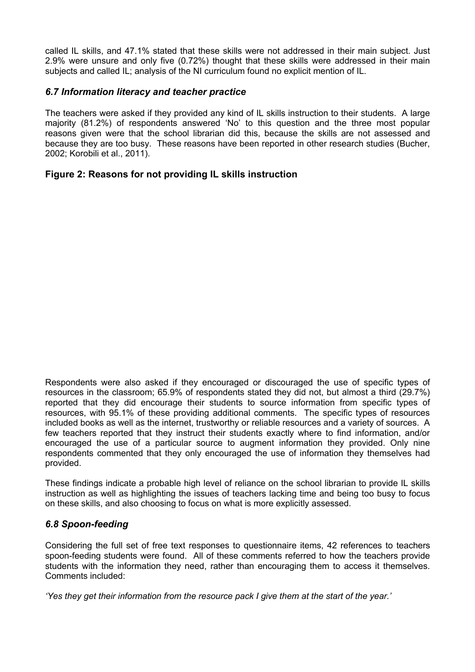called IL skills, and 47.1% stated that these skills were not addressed in their main subject. Just 2.9% were unsure and only five (0.72%) thought that these skills were addressed in their main subjects and called IL; analysis of the NI curriculum found no explicit mention of IL.

### *6.7 Information literacy and teacher practice*

The teachers were asked if they provided any kind of IL skills instruction to their students. A large majority (81.2%) of respondents answered 'No' to this question and the three most popular reasons given were that the school librarian did this, because the skills are not assessed and because they are too busy. These reasons have been reported in other research studies (Bucher, 2002; Korobili et al., 2011).

## **Figure 2: Reasons for not providing IL skills instruction**

Respondents were also asked if they encouraged or discouraged the use of specific types of resources in the classroom; 65.9% of respondents stated they did not, but almost a third (29.7%) reported that they did encourage their students to source information from specific types of resources, with 95.1% of these providing additional comments. The specific types of resources included books as well as the internet, trustworthy or reliable resources and a variety of sources. A few teachers reported that they instruct their students exactly where to find information, and/or encouraged the use of a particular source to augment information they provided. Only nine respondents commented that they only encouraged the use of information they themselves had provided.

These findings indicate a probable high level of reliance on the school librarian to provide IL skills instruction as well as highlighting the issues of teachers lacking time and being too busy to focus on these skills, and also choosing to focus on what is more explicitly assessed.

### *6.8 Spoon-feeding*

Considering the full set of free text responses to questionnaire items, 42 references to teachers spoon-feeding students were found. All of these comments referred to how the teachers provide students with the information they need, rather than encouraging them to access it themselves. Comments included:

*'Yes they get their information from the resource pack I give them at the start of the year.'*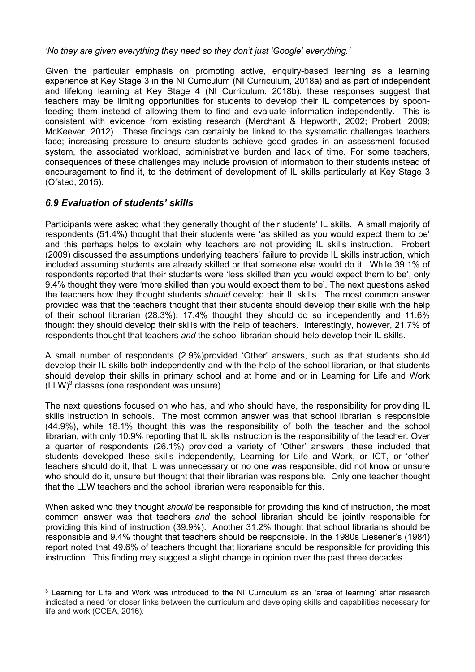### *'No they are given everything they need so they don't just 'Google' everything.'*

Given the particular emphasis on promoting active, enquiry-based learning as a learning experience at Key Stage 3 in the NI Curriculum (NI Curriculum, 2018a) and as part of independent and lifelong learning at Key Stage 4 (NI Curriculum, 2018b), these responses suggest that teachers may be limiting opportunities for students to develop their IL competences by spoonfeeding them instead of allowing them to find and evaluate information independently. This is consistent with evidence from existing research (Merchant & Hepworth, 2002; Probert, 2009; McKeever, 2012). These findings can certainly be linked to the systematic challenges teachers face; increasing pressure to ensure students achieve good grades in an assessment focused system, the associated workload, administrative burden and lack of time. For some teachers, consequences of these challenges may include provision of information to their students instead of encouragement to find it, to the detriment of development of IL skills particularly at Key Stage 3 (Ofsted, 2015).

## *6.9 Evaluation of students' skills*

Participants were asked what they generally thought of their students' IL skills. A small majority of respondents (51.4%) thought that their students were 'as skilled as you would expect them to be' and this perhaps helps to explain why teachers are not providing IL skills instruction. Probert (2009) discussed the assumptions underlying teachers' failure to provide IL skills instruction, which included assuming students are already skilled or that someone else would do it. While 39.1% of respondents reported that their students were 'less skilled than you would expect them to be', only 9.4% thought they were 'more skilled than you would expect them to be'. The next questions asked the teachers how they thought students *should* develop their IL skills. The most common answer provided was that the teachers thought that their students should develop their skills with the help of their school librarian (28.3%), 17.4% thought they should do so independently and 11.6% thought they should develop their skills with the help of teachers. Interestingly, however, 21.7% of respondents thought that teachers *and* the school librarian should help develop their IL skills.

A small number of respondents (2.9%)provided 'Other' answers, such as that students should develop their IL skills both independently and with the help of the school librarian, or that students should develop their skills in primary school and at home and or in Learning for Life and Work  $(LLW)^3$  classes (one respondent was unsure).

The next questions focused on who has, and who should have, the responsibility for providing IL skills instruction in schools. The most common answer was that school librarian is responsible (44.9%), while 18.1% thought this was the responsibility of both the teacher and the school librarian, with only 10.9% reporting that IL skills instruction is the responsibility of the teacher. Over a quarter of respondents (26.1%) provided a variety of 'Other' answers; these included that students developed these skills independently, Learning for Life and Work, or ICT, or 'other' teachers should do it, that IL was unnecessary or no one was responsible, did not know or unsure who should do it, unsure but thought that their librarian was responsible. Only one teacher thought that the LLW teachers and the school librarian were responsible for this.

When asked who they thought *should* be responsible for providing this kind of instruction, the most common answer was that teachers *and* the school librarian should be jointly responsible for providing this kind of instruction (39.9%). Another 31.2% thought that school librarians should be responsible and 9.4% thought that teachers should be responsible. In the 1980s Liesener's (1984) report noted that 49.6% of teachers thought that librarians should be responsible for providing this instruction. This finding may suggest a slight change in opinion over the past three decades.

<sup>&</sup>lt;sup>3</sup> Learning for Life and Work was introduced to the NI Curriculum as an 'area of learning' after research indicated a need for closer links between the curriculum and developing skills and capabilities necessary for life and work (CCEA, 2016).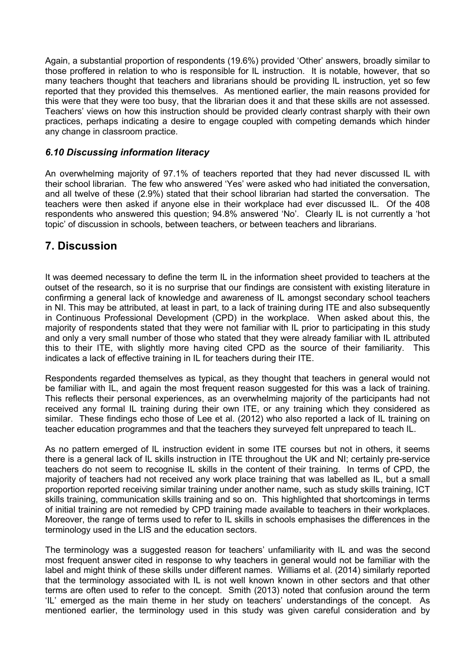Again, a substantial proportion of respondents (19.6%) provided 'Other' answers, broadly similar to those proffered in relation to who is responsible for IL instruction. It is notable, however, that so many teachers thought that teachers and librarians should be providing IL instruction, yet so few reported that they provided this themselves. As mentioned earlier, the main reasons provided for this were that they were too busy, that the librarian does it and that these skills are not assessed. Teachers' views on how this instruction should be provided clearly contrast sharply with their own practices, perhaps indicating a desire to engage coupled with competing demands which hinder any change in classroom practice.

### *6.10 Discussing information literacy*

An overwhelming majority of 97.1% of teachers reported that they had never discussed IL with their school librarian. The few who answered 'Yes' were asked who had initiated the conversation, and all twelve of these (2.9%) stated that their school librarian had started the conversation. The teachers were then asked if anyone else in their workplace had ever discussed IL. Of the 408 respondents who answered this question; 94.8% answered 'No'. Clearly IL is not currently a 'hot topic' of discussion in schools, between teachers, or between teachers and librarians.

## **7. Discussion**

It was deemed necessary to define the term IL in the information sheet provided to teachers at the outset of the research, so it is no surprise that our findings are consistent with existing literature in confirming a general lack of knowledge and awareness of IL amongst secondary school teachers in NI. This may be attributed, at least in part, to a lack of training during ITE and also subsequently in Continuous Professional Development (CPD) in the workplace. When asked about this, the majority of respondents stated that they were not familiar with IL prior to participating in this study and only a very small number of those who stated that they were already familiar with IL attributed this to their ITE, with slightly more having cited CPD as the source of their familiarity. This indicates a lack of effective training in IL for teachers during their ITE.

Respondents regarded themselves as typical, as they thought that teachers in general would not be familiar with IL, and again the most frequent reason suggested for this was a lack of training. This reflects their personal experiences, as an overwhelming majority of the participants had not received any formal IL training during their own ITE, or any training which they considered as similar. These findings echo those of Lee et al. (2012) who also reported a lack of IL training on teacher education programmes and that the teachers they surveyed felt unprepared to teach IL.

As no pattern emerged of IL instruction evident in some ITE courses but not in others, it seems there is a general lack of IL skills instruction in ITE throughout the UK and NI; certainly pre-service teachers do not seem to recognise IL skills in the content of their training. In terms of CPD, the majority of teachers had not received any work place training that was labelled as IL, but a small proportion reported receiving similar training under another name, such as study skills training, ICT skills training, communication skills training and so on. This highlighted that shortcomings in terms of initial training are not remedied by CPD training made available to teachers in their workplaces. Moreover, the range of terms used to refer to IL skills in schools emphasises the differences in the terminology used in the LIS and the education sectors.

The terminology was a suggested reason for teachers' unfamiliarity with IL and was the second most frequent answer cited in response to why teachers in general would not be familiar with the label and might think of these skills under different names. Williams et al. (2014) similarly reported that the terminology associated with IL is not well known known in other sectors and that other terms are often used to refer to the concept. Smith (2013) noted that confusion around the term 'IL' emerged as the main theme in her study on teachers' understandings of the concept. As mentioned earlier, the terminology used in this study was given careful consideration and by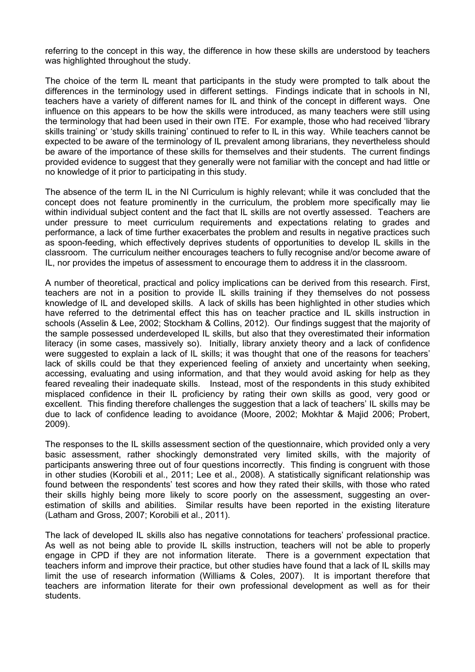referring to the concept in this way, the difference in how these skills are understood by teachers was highlighted throughout the study.

The choice of the term IL meant that participants in the study were prompted to talk about the differences in the terminology used in different settings. Findings indicate that in schools in NI, teachers have a variety of different names for IL and think of the concept in different ways. One influence on this appears to be how the skills were introduced, as many teachers were still using the terminology that had been used in their own ITE. For example, those who had received 'library skills training' or 'study skills training' continued to refer to IL in this way. While teachers cannot be expected to be aware of the terminology of IL prevalent among librarians, they nevertheless should be aware of the importance of these skills for themselves and their students. The current findings provided evidence to suggest that they generally were not familiar with the concept and had little or no knowledge of it prior to participating in this study.

The absence of the term IL in the NI Curriculum is highly relevant; while it was concluded that the concept does not feature prominently in the curriculum, the problem more specifically may lie within individual subject content and the fact that IL skills are not overtly assessed. Teachers are under pressure to meet curriculum requirements and expectations relating to grades and performance, a lack of time further exacerbates the problem and results in negative practices such as spoon-feeding, which effectively deprives students of opportunities to develop IL skills in the classroom. The curriculum neither encourages teachers to fully recognise and/or become aware of IL, nor provides the impetus of assessment to encourage them to address it in the classroom.

A number of theoretical, practical and policy implications can be derived from this research. First, teachers are not in a position to provide IL skills training if they themselves do not possess knowledge of IL and developed skills. A lack of skills has been highlighted in other studies which have referred to the detrimental effect this has on teacher practice and IL skills instruction in schools (Asselin & Lee, 2002; Stockham & Collins, 2012). Our findings suggest that the majority of the sample possessed underdeveloped IL skills, but also that they overestimated their information literacy (in some cases, massively so). Initially, library anxiety theory and a lack of confidence were suggested to explain a lack of IL skills; it was thought that one of the reasons for teachers' lack of skills could be that they experienced feeling of anxiety and uncertainty when seeking, accessing, evaluating and using information, and that they would avoid asking for help as they feared revealing their inadequate skills. Instead, most of the respondents in this study exhibited misplaced confidence in their IL proficiency by rating their own skills as good, very good or excellent. This finding therefore challenges the suggestion that a lack of teachers' IL skills may be due to lack of confidence leading to avoidance (Moore, 2002; Mokhtar & Majid 2006; Probert, 2009).

The responses to the IL skills assessment section of the questionnaire, which provided only a very basic assessment, rather shockingly demonstrated very limited skills, with the majority of participants answering three out of four questions incorrectly. This finding is congruent with those in other studies (Korobili et al., 2011; Lee et al., 2008). A statistically significant relationship was found between the respondents' test scores and how they rated their skills, with those who rated their skills highly being more likely to score poorly on the assessment, suggesting an overestimation of skills and abilities. Similar results have been reported in the existing literature (Latham and Gross, 2007; Korobili et al., 2011).

The lack of developed IL skills also has negative connotations for teachers' professional practice. As well as not being able to provide IL skills instruction, teachers will not be able to properly engage in CPD if they are not information literate. There is a government expectation that teachers inform and improve their practice, but other studies have found that a lack of IL skills may limit the use of research information (Williams & Coles, 2007). It is important therefore that teachers are information literate for their own professional development as well as for their students.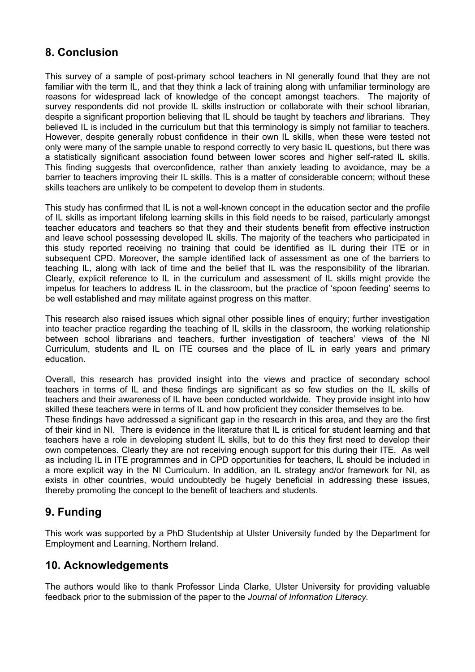## **8. Conclusion**

This survey of a sample of post-primary school teachers in NI generally found that they are not familiar with the term IL, and that they think a lack of training along with unfamiliar terminology are reasons for widespread lack of knowledge of the concept amongst teachers. The majority of survey respondents did not provide IL skills instruction or collaborate with their school librarian, despite a significant proportion believing that IL should be taught by teachers *and* librarians. They believed IL is included in the curriculum but that this terminology is simply not familiar to teachers. However, despite generally robust confidence in their own IL skills, when these were tested not only were many of the sample unable to respond correctly to very basic IL questions, but there was a statistically significant association found between lower scores and higher self-rated IL skills. This finding suggests that overconfidence, rather than anxiety leading to avoidance, may be a barrier to teachers improving their IL skills. This is a matter of considerable concern; without these skills teachers are unlikely to be competent to develop them in students.

This study has confirmed that IL is not a well-known concept in the education sector and the profile of IL skills as important lifelong learning skills in this field needs to be raised, particularly amongst teacher educators and teachers so that they and their students benefit from effective instruction and leave school possessing developed IL skills. The majority of the teachers who participated in this study reported receiving no training that could be identified as IL during their ITE or in subsequent CPD. Moreover, the sample identified lack of assessment as one of the barriers to teaching IL, along with lack of time and the belief that IL was the responsibility of the librarian. Clearly, explicit reference to IL in the curriculum and assessment of IL skills might provide the impetus for teachers to address IL in the classroom, but the practice of 'spoon feeding' seems to be well established and may militate against progress on this matter.

This research also raised issues which signal other possible lines of enquiry; further investigation into teacher practice regarding the teaching of IL skills in the classroom, the working relationship between school librarians and teachers, further investigation of teachers' views of the NI Curriculum, students and IL on ITE courses and the place of IL in early years and primary education.

Overall, this research has provided insight into the views and practice of secondary school teachers in terms of IL and these findings are significant as so few studies on the IL skills of teachers and their awareness of IL have been conducted worldwide. They provide insight into how skilled these teachers were in terms of IL and how proficient they consider themselves to be.

These findings have addressed a significant gap in the research in this area, and they are the first of their kind in NI. There is evidence in the literature that IL is critical for student learning and that teachers have a role in developing student IL skills, but to do this they first need to develop their own competences. Clearly they are not receiving enough support for this during their ITE. As well as including IL in ITE programmes and in CPD opportunities for teachers, IL should be included in a more explicit way in the NI Curriculum. In addition, an IL strategy and/or framework for NI, as exists in other countries, would undoubtedly be hugely beneficial in addressing these issues, thereby promoting the concept to the benefit of teachers and students.

## **9. Funding**

This work was supported by a PhD Studentship at Ulster University funded by the Department for Employment and Learning, Northern Ireland.

## **10. Acknowledgements**

The authors would like to thank Professor Linda Clarke, Ulster University for providing valuable feedback prior to the submission of the paper to the *Journal of Information Literacy.*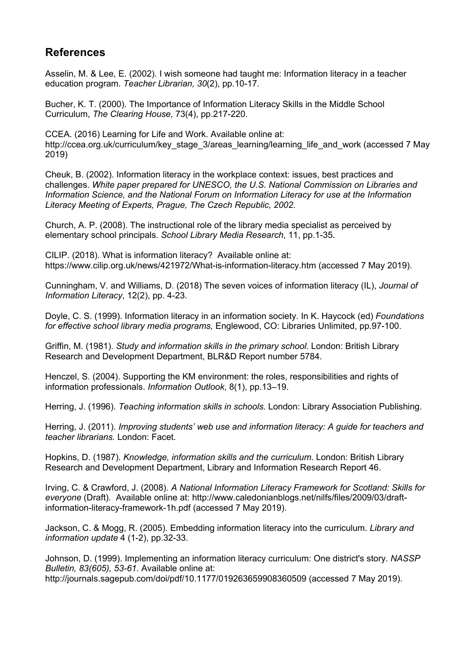## **References**

Asselin, M. & Lee, E. (2002). I wish someone had taught me: Information literacy in a teacher education program. *Teacher Librarian, 30*(2), pp.10-17.

Bucher, K. T. (2000). The Importance of Information Literacy Skills in the Middle School Curriculum, *The Clearing House,* 73(4), pp.217-220.

CCEA. (2016) Learning for Life and Work. Available online at: http://ccea.org.uk/curriculum/key\_stage\_3/areas\_learning/learning\_life\_and\_work (accessed 7 May 2019)

Cheuk, B. (2002). Information literacy in the workplace context: issues, best practices and challenges. *White paper prepared for UNESCO, the U.S. National Commission on Libraries and Information Science, and the National Forum on Information Literacy for use at the Information Literacy Meeting of Experts, Prague, The Czech Republic, 2002*.

Church, A. P. (2008). The instructional role of the library media specialist as perceived by elementary school principals. *School Library Media Research*, 11, pp.1-35.

CILIP. (2018). What is information literacy? Available online at: https://www.cilip.org.uk/news/421972/What-is-information-literacy.htm (accessed 7 May 2019).

Cunningham, V. and Williams, D. (2018) The seven voices of information literacy (IL), *Journal of Information Literacy*, 12(2), pp. 4-23.

Doyle, C. S. (1999). Information literacy in an information society. In K. Haycock (ed) *Foundations for effective school library media programs,* Englewood, CO: Libraries Unlimited, pp.97-100.

Griffin, M. (1981). *Study and information skills in the primary school*. London: British Library Research and Development Department, BLR&D Report number 5784.

Henczel, S. (2004). Supporting the KM environment: the roles, responsibilities and rights of information professionals. *Information Outlook*, 8(1), pp.13–19.

Herring, J. (1996). *Teaching information skills in schools.* London: Library Association Publishing.

Herring, J. (2011). *Improving students' web use and information literacy: A guide for teachers and teacher librarians.* London: Facet.

Hopkins, D. (1987). *Knowledge, information skills and the curriculum*. London: British Library Research and Development Department, Library and Information Research Report 46.

Irving, C. & Crawford, J. (2008). *A National Information Literacy Framework for Scotland: Skills for everyone* (Draft). Available online at: http://www.caledonianblogs.net/nilfs/files/2009/03/draftinformation-literacy-framework-1h.pdf (accessed 7 May 2019).

Jackson, C. & Mogg, R. (2005). Embedding information literacy into the curriculum. *Library and information update* 4 (1-2), pp.32-33.

Johnson, D. (1999). Implementing an information literacy curriculum: One district's story. *NASSP Bulletin, 83(605), 53-61*. Available online at: http://journals.sagepub.com/doi/pdf/10.1177/019263659908360509 (accessed 7 May 2019).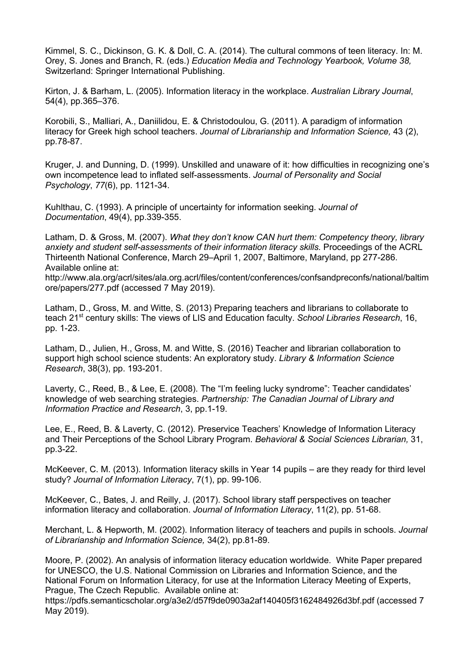Kimmel, S. C., Dickinson, G. K. & Doll, C. A. (2014). The cultural commons of teen literacy. In: M. Orey, S. Jones and Branch, R. (eds.) *Education Media and Technology Yearbook, Volume 38,*  Switzerland: Springer International Publishing.

Kirton, J. & Barham, L. (2005). Information literacy in the workplace. *Australian Library Journal*, 54(4), pp.365–376.

Korobili, S., Malliari, A., Daniilidou, E. & Christodoulou, G. (2011). A paradigm of information literacy for Greek high school teachers. *Journal of Librarianship and Information Science,* 43 (2), pp.78-87.

Kruger, J. and Dunning, D. (1999). Unskilled and unaware of it: how difficulties in recognizing one's own incompetence lead to inflated self-assessments. *Journal of Personality and Social Psychology*, *77*(6), pp. 1121-34.

Kuhlthau, C. (1993). A principle of uncertainty for information seeking. *Journal of Documentation*, 49(4), pp.339-355.

Latham, D. & Gross, M. (2007). *What they don't know CAN hurt them: Competency theory, library anxiety and student self-assessments of their information literacy skills.* Proceedings of the ACRL Thirteenth National Conference, March 29–April 1, 2007, Baltimore, Maryland, pp 277-286. Available online at:

http://www.ala.org/acrl/sites/ala.org.acrl/files/content/conferences/confsandpreconfs/national/baltim ore/papers/277.pdf (accessed 7 May 2019).

Latham, D., Gross, M. and Witte, S. (2013) Preparing teachers and librarians to collaborate to teach 21st century skills: The views of LIS and Education faculty. *School Libraries Research*, 16, pp. 1-23.

Latham, D., Julien, H., Gross, M. and Witte, S. (2016) Teacher and librarian collaboration to support high school science students: An exploratory study. *Library & Information Science Research*, 38(3), pp. 193-201.

Laverty, C., Reed, B., & Lee, E. (2008). The "I'm feeling lucky syndrome": Teacher candidates' knowledge of web searching strategies. *Partnership: The Canadian Journal of Library and Information Practice and Research*, 3, pp.1-19.

Lee, E., Reed, B. & Laverty, C. (2012). Preservice Teachers' Knowledge of Information Literacy and Their Perceptions of the School Library Program. *Behavioral & Social Sciences Librarian,* 31, pp.3-22.

McKeever, C. M. (2013). Information literacy skills in Year 14 pupils – are they ready for third level study? *Journal of Information Literacy*, 7(1), pp. 99-106.

McKeever, C., Bates, J. and Reilly, J. (2017). School library staff perspectives on teacher information literacy and collaboration. *Journal of Information Literacy*, 11(2), pp. 51-68.

Merchant, L. & Hepworth, M. (2002). Information literacy of teachers and pupils in schools. *Journal of Librarianship and Information Science,* 34(2), pp.81-89.

Moore, P. (2002). An analysis of information literacy education worldwide. White Paper prepared for UNESCO, the U.S. National Commission on Libraries and Information Science, and the National Forum on Information Literacy, for use at the Information Literacy Meeting of Experts, Prague, The Czech Republic. Available online at:

https://pdfs.semanticscholar.org/a3e2/d57f9de0903a2af140405f3162484926d3bf.pdf (accessed 7 May 2019).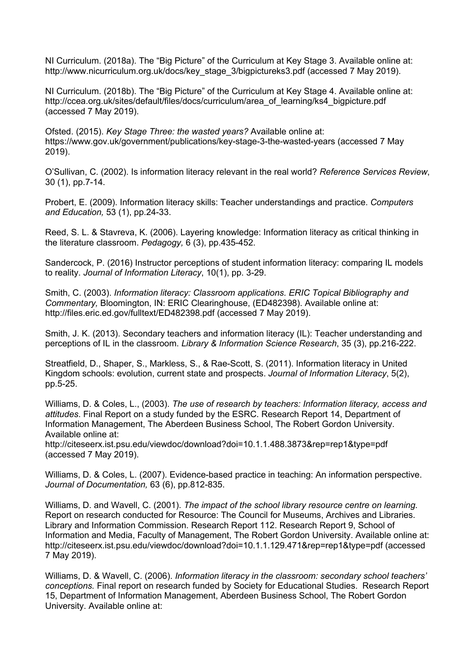NI Curriculum. (2018a). The "Big Picture" of the Curriculum at Key Stage 3. Available online at: http://www.nicurriculum.org.uk/docs/key\_stage\_3/bigpictureks3.pdf (accessed 7 May 2019).

NI Curriculum. (2018b). The "Big Picture" of the Curriculum at Key Stage 4. Available online at: http://ccea.org.uk/sites/default/files/docs/curriculum/area\_of\_learning/ks4\_bigpicture.pdf (accessed 7 May 2019).

Ofsted. (2015). *Key Stage Three: the wasted years?* Available online at: https://www.gov.uk/government/publications/key-stage-3-the-wasted-years (accessed 7 May 2019).

O'Sullivan, C. (2002). Is information literacy relevant in the real world? *Reference Services Review*, 30 (1), pp.7-14.

Probert, E. (2009). Information literacy skills: Teacher understandings and practice. *Computers and Education,* 53 (1), pp.24-33.

Reed, S. L. & Stavreva, K. (2006). Layering knowledge: Information literacy as critical thinking in the literature classroom. *Pedagogy,* 6 (3), pp.435-452.

Sandercock, P. (2016) Instructor perceptions of student information literacy: comparing IL models to reality. *Journal of Information Literacy*, 10(1), pp. 3-29.

Smith, C. (2003). *Information literacy: Classroom applications. ERIC Topical Bibliography and Commentary,* Bloomington, IN: ERIC Clearinghouse, (ED482398). Available online at: http://files.eric.ed.gov/fulltext/ED482398.pdf (accessed 7 May 2019).

Smith, J. K. (2013). Secondary teachers and information literacy (IL): Teacher understanding and perceptions of IL in the classroom. *Library & Information Science Research*, 35 (3), pp.216-222.

Streatfield, D., Shaper, S., Markless, S., & Rae-Scott, S. (2011). Information literacy in United Kingdom schools: evolution, current state and prospects. *Journal of Information Literacy*, 5(2), pp.5-25.

Williams, D. & Coles, L., (2003). *The use of research by teachers: Information literacy, access and attitudes*. Final Report on a study funded by the ESRC. Research Report 14, Department of Information Management, The Aberdeen Business School, The Robert Gordon University. Available online at:

http://citeseerx.ist.psu.edu/viewdoc/download?doi=10.1.1.488.3873&rep=rep1&type=pdf (accessed 7 May 2019).

Williams, D. & Coles, L. (2007). Evidence-based practice in teaching: An information perspective. *Journal of Documentation,* 63 (6), pp.812-835.

Williams, D. and Wavell, C. (2001). *The impact of the school library resource centre on learning*. Report on research conducted for Resource: The Council for Museums, Archives and Libraries. Library and Information Commission. Research Report 112. Research Report 9, School of Information and Media, Faculty of Management, The Robert Gordon University. Available online at: http://citeseerx.ist.psu.edu/viewdoc/download?doi=10.1.1.129.471&rep=rep1&type=pdf (accessed 7 May 2019).

Williams, D. & Wavell, C. (2006). *Information literacy in the classroom: secondary school teachers' conceptions.* Final report on research funded by Society for Educational Studies. Research Report 15, Department of Information Management, Aberdeen Business School, The Robert Gordon University. Available online at: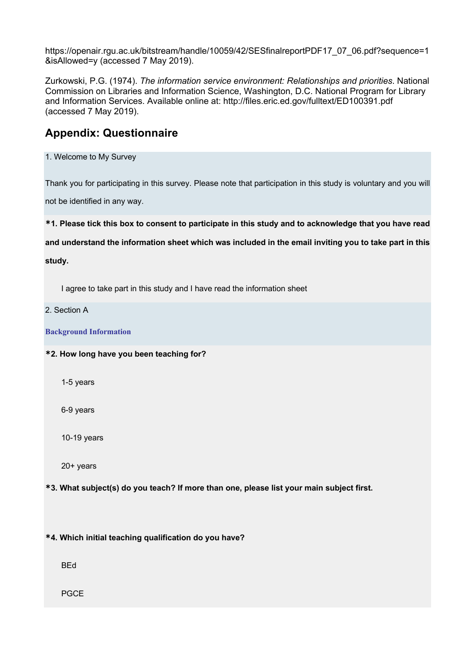https://openair.rgu.ac.uk/bitstream/handle/10059/42/SESfinalreportPDF17\_07\_06.pdf?sequence=1 &isAllowed=y (accessed 7 May 2019).

Zurkowski, P.G. (1974). *The information service environment: Relationships and priorities*. National Commission on Libraries and Information Science, Washington, D.C. National Program for Library and Information Services. Available online at: http://files.eric.ed.gov/fulltext/ED100391.pdf (accessed 7 May 2019).

## **Appendix: Questionnaire**

1. Welcome to My Survey

Thank you for participating in this survey. Please note that participation in this study is voluntary and you will

not be identified in any way.

**\*1. Please tick this box to consent to participate in this study and to acknowledge that you have read** 

**and understand the information sheet which was included in the email inviting you to take part in this** 

**study.**

I agree to take part in this study and I have read the information sheet

#### 2. Section A

**Background Information**

#### **\*2. How long have you been teaching for?**

1-5 years

6-9 years

10-19 years

20+ years

**\*3. What subject(s) do you teach? If more than one, please list your main subject first.**

**\*4. Which initial teaching qualification do you have?**

BEd

PGCE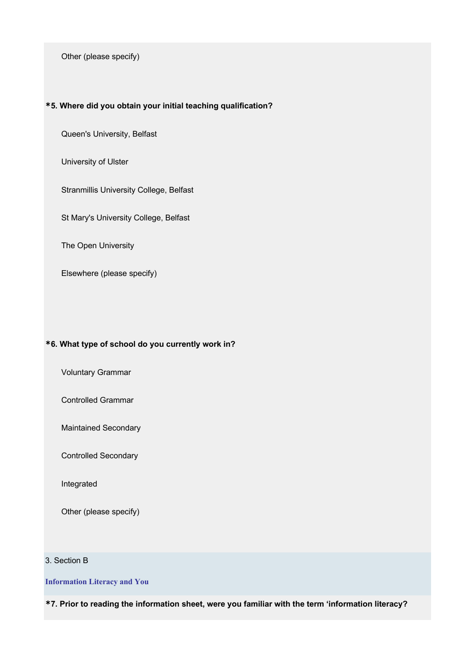Other (please specify)

#### **\*5. Where did you obtain your initial teaching qualification?**

Queen's University, Belfast

University of Ulster

Stranmillis University College, Belfast

St Mary's University College, Belfast

The Open University

Elsewhere (please specify)

#### **\*6. What type of school do you currently work in?**

Voluntary Grammar

Controlled Grammar

Maintained Secondary

Controlled Secondary

Integrated

Other (please specify)

#### 3. Section B

**Information Literacy and You**

**\*7. Prior to reading the information sheet, were you familiar with the term 'information literacy?**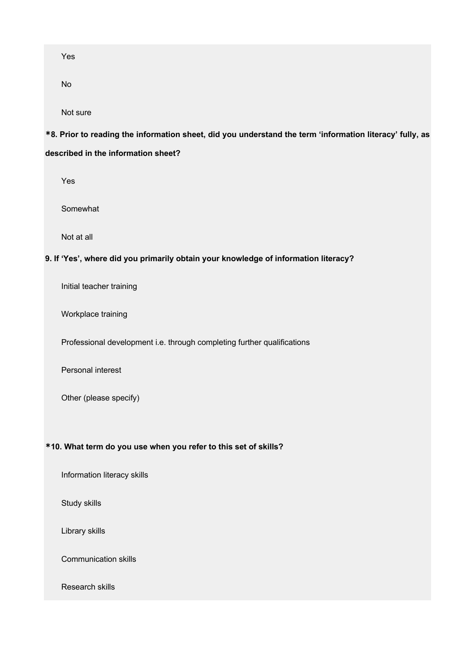Yes

No

Not sure

## **\*8. Prior to reading the information sheet, did you understand the term 'information literacy' fully, as described in the information sheet?**

Yes

Somewhat

Not at all

#### **9. If 'Yes', where did you primarily obtain your knowledge of information literacy?**

Initial teacher training

Workplace training

Professional development i.e. through completing further qualifications

Personal interest

Other (please specify)

#### **\*10. What term do you use when you refer to this set of skills?**

Information literacy skills

Study skills

Library skills

Communication skills

Research skills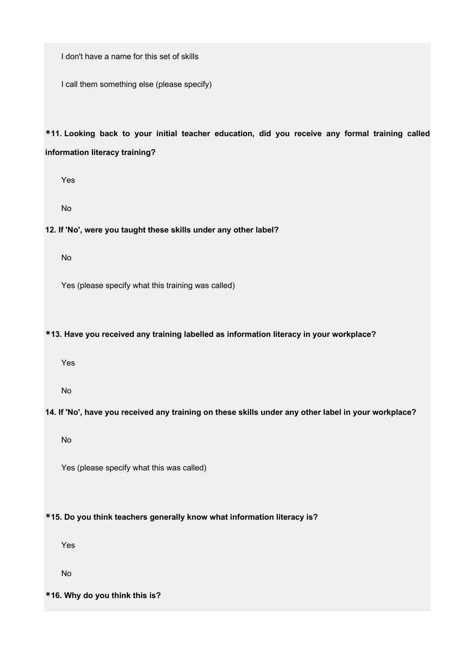I don't have a name for this set of skills

I call them something else (please specify)

**\*11. Looking back to your initial teacher education, did you receive any formal training called information literacy training?**

Yes

No

#### **12. If 'No', were you taught these skills under any other label?**

No

Yes (please specify what this training was called)

#### **\*13. Have you received any training labelled as information literacy in your workplace?**

Yes

No

#### **14. If 'No', have you received any training on these skills under any other label in your workplace?**

No

Yes (please specify what this was called)

#### **\*15. Do you think teachers generally know what information literacy is?**

Yes

No

#### **\*16. Why do you think this is?**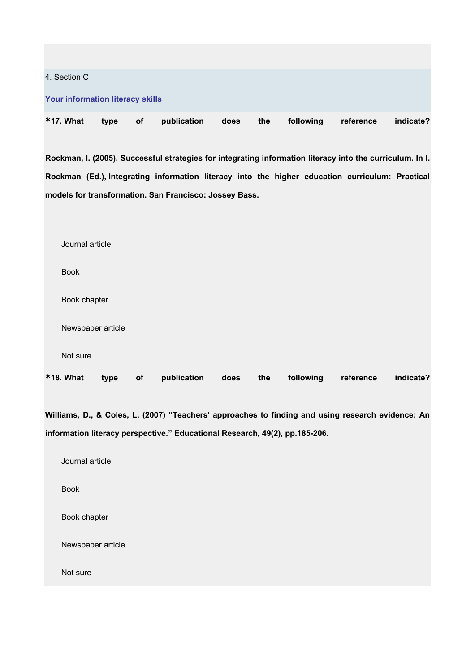#### 4. Section C

#### **Your information literacy skills**

| *17. What type of publication does the following reference indicate? |  |  |  |  |  |  |  |
|----------------------------------------------------------------------|--|--|--|--|--|--|--|
|----------------------------------------------------------------------|--|--|--|--|--|--|--|

**Rockman, I. (2005). Successful strategies for integrating information literacy into the curriculum. In I. Rockman (Ed.), Integrating information literacy into the higher education curriculum: Practical models for transformation. San Francisco: Jossey Bass.**

| <b>*18. What</b>  | type | of | publication | does | the | following | reference | indicate? |
|-------------------|------|----|-------------|------|-----|-----------|-----------|-----------|
| Not sure          |      |    |             |      |     |           |           |           |
| Newspaper article |      |    |             |      |     |           |           |           |
| Book chapter      |      |    |             |      |     |           |           |           |
| <b>Book</b>       |      |    |             |      |     |           |           |           |
| Journal article   |      |    |             |      |     |           |           |           |

**Williams, D., & Coles, L. (2007) "Teachers' approaches to finding and using research evidence: An information literacy perspective." Educational Research, 49(2), pp.185-206.**

| Journal article   |
|-------------------|
| <b>Book</b>       |
| Book chapter      |
| Newspaper article |
| Not sure          |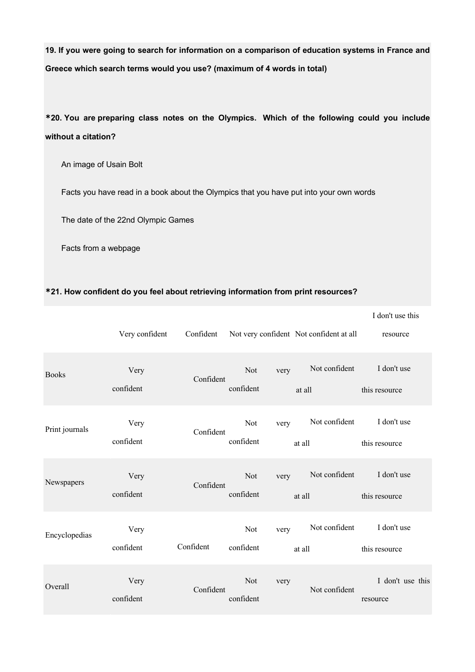**19. If you were going to search for information on a comparison of education systems in France and Greece which search terms would you use? (maximum of 4 words in total)**

**\*20. You are preparing class notes on the Olympics. Which of the following could you include without a citation?**

An image of Usain Bolt

Facts you have read in a book about the Olympics that you have put into your own words

The date of the 22nd Olympic Games

Facts from a webpage

#### **\*21. How confident do you feel about retrieving information from print resources?**

|                | Very confident    | Confident |                          | Not very confident Not confident at all | I don't use this<br>resource |
|----------------|-------------------|-----------|--------------------------|-----------------------------------------|------------------------------|
| <b>Books</b>   | Very<br>confident | Confident | Not<br>very<br>confident | Not confident<br>at all                 | I don't use<br>this resource |
| Print journals | Very<br>confident | Confident | Not<br>very<br>confident | Not confident<br>at all                 | I don't use<br>this resource |
| Newspapers     | Very<br>confident | Confident | Not<br>very<br>confident | Not confident<br>at all                 | I don't use<br>this resource |
| Encyclopedias  | Very<br>confident | Confident | Not<br>very<br>confident | Not confident<br>at all                 | I don't use<br>this resource |
| Overall        | Very<br>confident | Confident | Not<br>very<br>confident | Not confident                           | I don't use this<br>resource |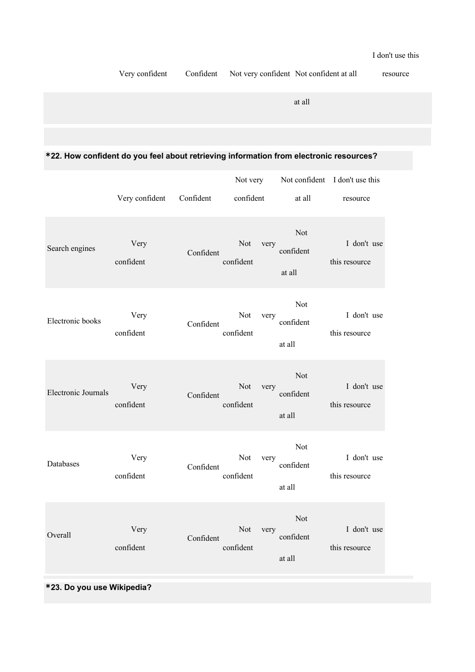Very confident Confident Not very confident Not confident at all resource

at all

## **\*22. How confident do you feel about retrieving information from electronic resources?**

|                     |                   |           | Not very                        |                            | Not confident I don't use this |
|---------------------|-------------------|-----------|---------------------------------|----------------------------|--------------------------------|
|                     | Very confident    | Confident | confident                       | at all                     | resource                       |
| Search engines      | Very<br>confident | Confident | Not<br>very<br>confident        | Not<br>confident<br>at all | I don't use<br>this resource   |
| Electronic books    | Very<br>confident | Confident | Not<br>very<br>confident        | Not<br>confident<br>at all | I don't use<br>this resource   |
| Electronic Journals | Very<br>confident | Confident | Not<br>very<br>confident        | Not<br>confident<br>at all | I don't use<br>this resource   |
| Databases           | Very<br>confident | Confident | Not<br>very<br>confident        | Not<br>confident<br>at all | I don't use<br>this resource   |
| Overall             | Very<br>confident | Confident | <b>Not</b><br>very<br>confident | Not<br>confident<br>at all | I don't use<br>this resource   |

## **\*23. Do you use Wikipedia?**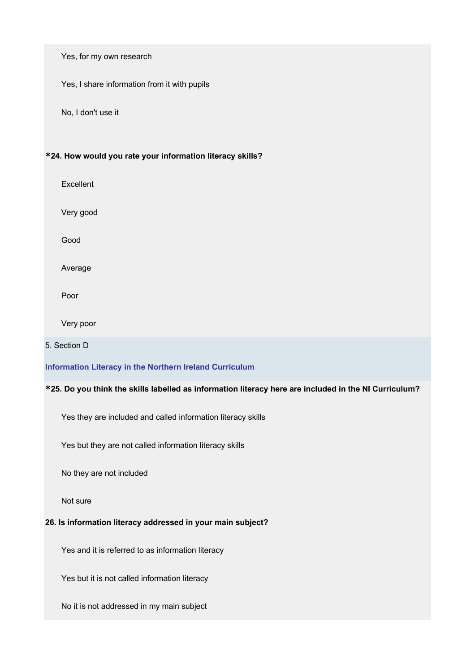Yes, for my own research

Yes, I share information from it with pupils

No, I don't use it

#### **\*24. How would you rate your information literacy skills?**

Excellent

Very good

Good

Average

Poor

Very poor

#### 5. Section D

#### **Information Literacy in the Northern Ireland Curriculum**

### **\*25. Do you think the skills labelled as information literacy here are included in the NI Curriculum?**

Yes they are included and called information literacy skills

Yes but they are not called information literacy skills

No they are not included

Not sure

#### **26. Is information literacy addressed in your main subject?**

Yes and it is referred to as information literacy

Yes but it is not called information literacy

No it is not addressed in my main subject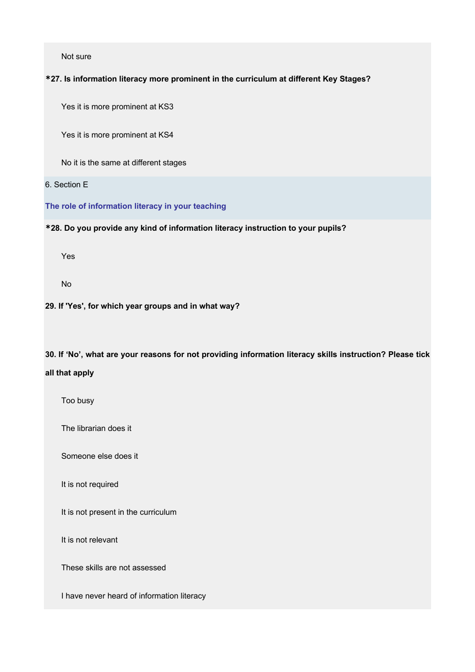Not sure

#### **\*27. Is information literacy more prominent in the curriculum at different Key Stages?**

Yes it is more prominent at KS3

Yes it is more prominent at KS4

No it is the same at different stages

#### 6. Section E

**The role of information literacy in your teaching**

#### **\*28. Do you provide any kind of information literacy instruction to your pupils?**

Yes

No

#### **29. If 'Yes', for which year groups and in what way?**

**30. If 'No', what are your reasons for not providing information literacy skills instruction? Please tick** 

#### **all that apply**

Too busy

The librarian does it

Someone else does it

It is not required

It is not present in the curriculum

It is not relevant

These skills are not assessed

I have never heard of information literacy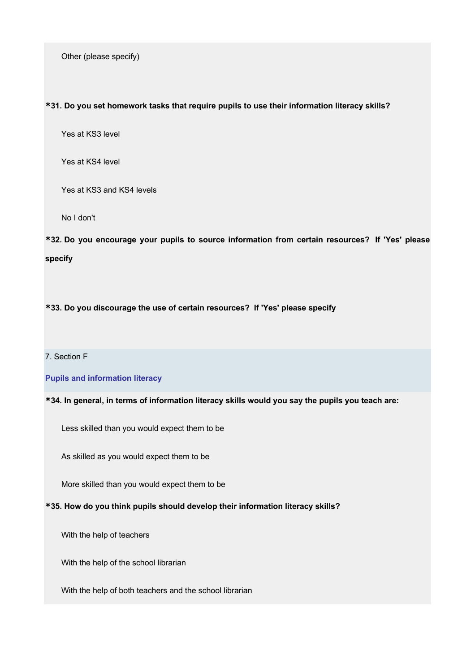Other (please specify)

#### **\*31. Do you set homework tasks that require pupils to use their information literacy skills?**

Yes at KS3 level

Yes at KS4 level

Yes at KS3 and KS4 levels

No I don't

**\*32. Do you encourage your pupils to source information from certain resources? If 'Yes' please specify**

**\*33. Do you discourage the use of certain resources? If 'Yes' please specify**

#### 7. Section F

#### **Pupils and information literacy**

#### **\*34. In general, in terms of information literacy skills would you say the pupils you teach are:**

Less skilled than you would expect them to be

As skilled as you would expect them to be

More skilled than you would expect them to be

#### **\*35. How do you think pupils should develop their information literacy skills?**

With the help of teachers

With the help of the school librarian

With the help of both teachers and the school librarian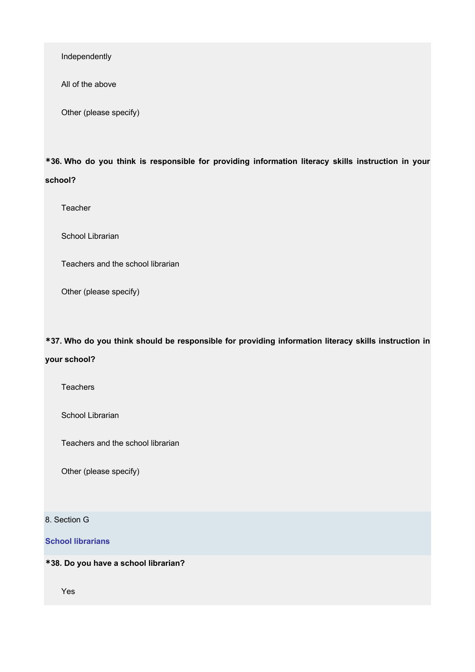Independently

All of the above

Other (please specify)

**\*36. Who do you think is responsible for providing information literacy skills instruction in your school?**

Teacher

School Librarian

Teachers and the school librarian

Other (please specify)

**\*37. Who do you think should be responsible for providing information literacy skills instruction in** 

#### **your school?**

**Teachers** 

School Librarian

Teachers and the school librarian

Other (please specify)

8. Section G

**School librarians**

**\*38. Do you have a school librarian?**

Yes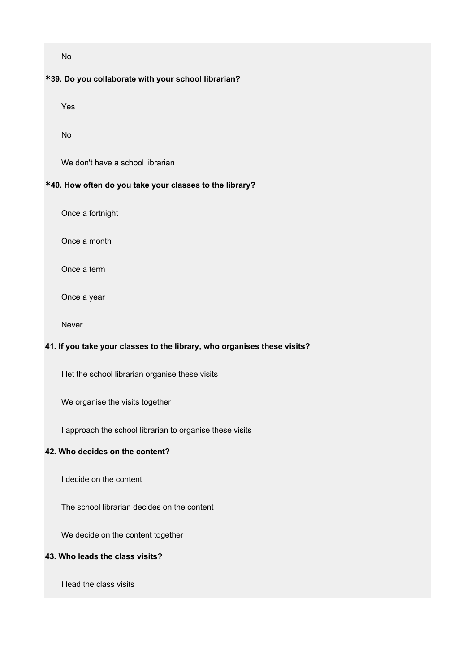No

#### **\*39. Do you collaborate with your school librarian?**

Yes

No

We don't have a school librarian

#### **\*40. How often do you take your classes to the library?**

Once a fortnight

Once a month

Once a term

Once a year

Never

### **41. If you take your classes to the library, who organises these visits?**

I let the school librarian organise these visits

We organise the visits together

I approach the school librarian to organise these visits

#### **42. Who decides on the content?**

I decide on the content

The school librarian decides on the content

We decide on the content together

#### **43. Who leads the class visits?**

I lead the class visits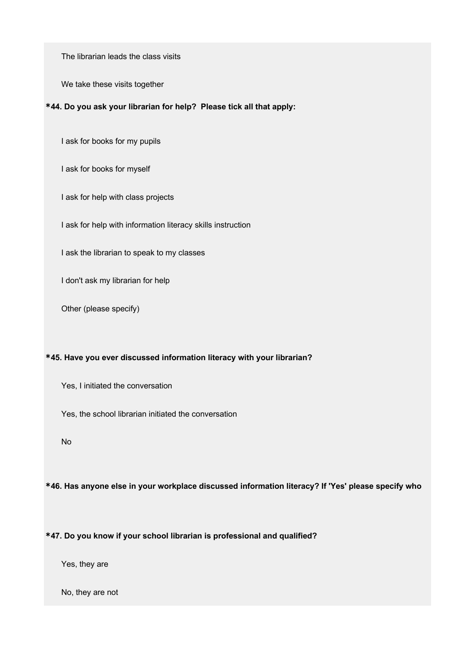The librarian leads the class visits

We take these visits together

#### **\*44. Do you ask your librarian for help? Please tick all that apply:**

I ask for books for my pupils

I ask for books for myself

I ask for help with class projects

I ask for help with information literacy skills instruction

I ask the librarian to speak to my classes

I don't ask my librarian for help

Other (please specify)

#### **\*45. Have you ever discussed information literacy with your librarian?**

Yes, I initiated the conversation

Yes, the school librarian initiated the conversation

No

**\*46. Has anyone else in your workplace discussed information literacy? If 'Yes' please specify who**

#### **\*47. Do you know if your school librarian is professional and qualified?**

Yes, they are

No, they are not